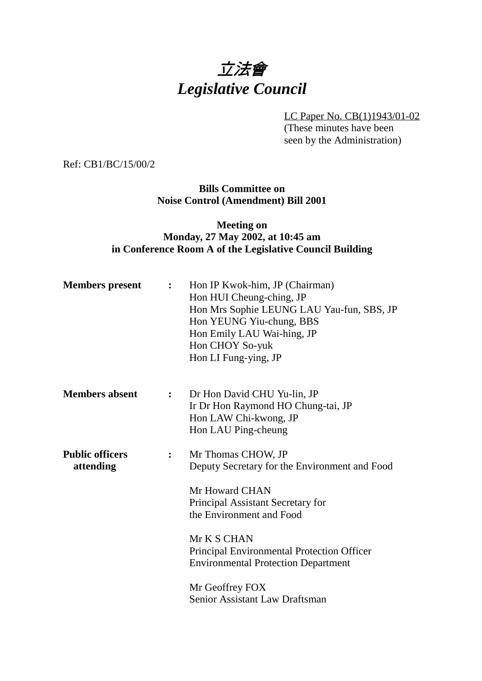# 立法會 *Legislative Council*

LC Paper No. CB(1)1943/01-02 (These minutes have been seen by the Administration)

Ref: CB1/BC/15/00/2

**Bills Committee on Noise Control (Amendment) Bill 2001**

## **Meeting on Monday, 27 May 2002, at 10:45 am in Conference Room A of the Legislative Council Building**

| <b>Members</b> present              | $\mathbf{L}$   | Hon IP Kwok-him, JP (Chairman)<br>Hon HUI Cheung-ching, JP<br>Hon Mrs Sophie LEUNG LAU Yau-fun, SBS, JP<br>Hon YEUNG Yiu-chung, BBS<br>Hon Emily LAU Wai-hing, JP<br>Hon CHOY So-yuk<br>Hon LI Fung-ying, JP |
|-------------------------------------|----------------|--------------------------------------------------------------------------------------------------------------------------------------------------------------------------------------------------------------|
| <b>Members absent</b>               | $\ddot{\cdot}$ | Dr Hon David CHU Yu-lin, JP<br>Ir Dr Hon Raymond HO Chung-tai, JP<br>Hon LAW Chi-kwong, JP<br>Hon LAU Ping-cheung                                                                                            |
| <b>Public officers</b><br>attending | $\ddot{\cdot}$ | Mr Thomas CHOW, JP<br>Deputy Secretary for the Environment and Food<br>Mr Howard CHAN<br>Principal Assistant Secretary for<br>the Environment and Food                                                       |
|                                     |                | Mr K S CHAN<br>Principal Environmental Protection Officer<br><b>Environmental Protection Department</b><br>Mr Geoffrey FOX<br>Senior Assistant Law Draftsman                                                 |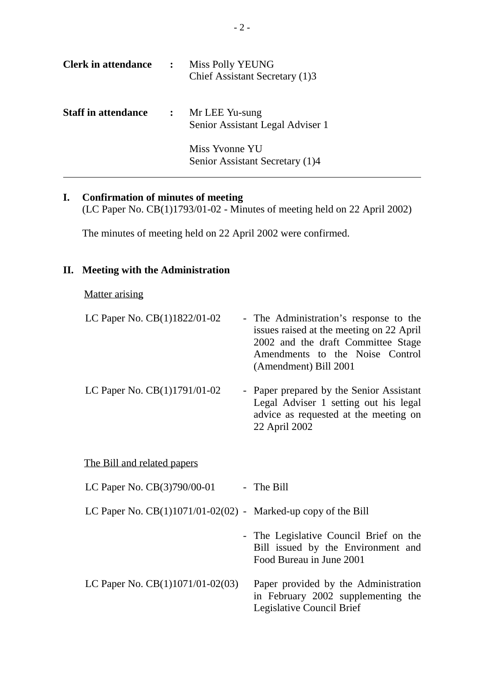| <b>Clerk in attendance</b> | $\ddot{\cdot}$             | <b>Miss Polly YEUNG</b><br>Chief Assistant Secretary (1)3 |
|----------------------------|----------------------------|-----------------------------------------------------------|
| <b>Staff in attendance</b> | $\mathcal{L}^{\text{max}}$ | Mr LEE Yu-sung<br>Senior Assistant Legal Adviser 1        |
|                            |                            | Miss Yvonne YU<br>Senior Assistant Secretary (1)4         |

## **I. Confirmation of minutes of meeting**

(LC Paper No. CB(1)1793/01-02 - Minutes of meeting held on 22 April 2002)

The minutes of meeting held on 22 April 2002 were confirmed.

#### **II. Meeting with the Administration**

#### Matter arising

| LC Paper No. CB(1)1822/01-02                                    | - The Administration's response to the<br>issues raised at the meeting on 22 April<br>2002 and the draft Committee Stage<br>Amendments to the Noise Control<br>(Amendment) Bill 2001 |
|-----------------------------------------------------------------|--------------------------------------------------------------------------------------------------------------------------------------------------------------------------------------|
| LC Paper No. CB(1)1791/01-02                                    | - Paper prepared by the Senior Assistant<br>Legal Adviser 1 setting out his legal<br>advice as requested at the meeting on<br>22 April 2002                                          |
| The Bill and related papers                                     |                                                                                                                                                                                      |
| LC Paper No. $CB(3)790/00-01$                                   | - The Bill                                                                                                                                                                           |
| LC Paper No. $CB(1)1071/01-02(02)$ - Marked-up copy of the Bill |                                                                                                                                                                                      |

- The Legislative Council Brief on the Bill issued by the Environment and Food Bureau in June 2001
- LC Paper No. CB(1)1071/01-02(03) Paper provided by the Administration in February 2002 supplementing the Legislative Council Brief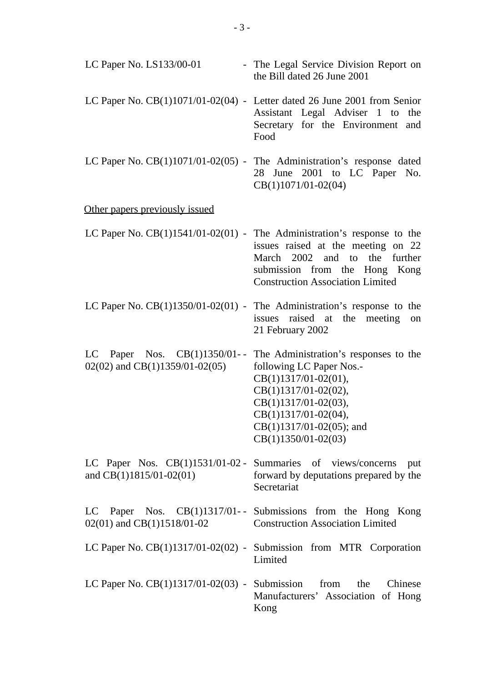| LC Paper No. LS133/00-01                                            | - The Legal Service Division Report on<br>the Bill dated 26 June 2001                                                                                                                                                             |
|---------------------------------------------------------------------|-----------------------------------------------------------------------------------------------------------------------------------------------------------------------------------------------------------------------------------|
|                                                                     | LC Paper No. $CB(1)1071/01-02(04)$ - Letter dated 26 June 2001 from Senior<br>Assistant Legal Adviser 1 to<br>the<br>Secretary for the Environment and<br>Food                                                                    |
|                                                                     | LC Paper No. $CB(1)1071/01-02(05)$ - The Administration's response dated<br>June 2001 to LC Paper No.<br>28<br>CB(1)1071/01-02(04)                                                                                                |
| Other papers previously issued                                      |                                                                                                                                                                                                                                   |
|                                                                     | LC Paper No. $CB(1)1541/01-02(01)$ - The Administration's response to the<br>issues raised at the meeting on 22<br>March 2002 and to the further<br>submission from the Hong Kong<br><b>Construction Association Limited</b>      |
|                                                                     | LC Paper No. $CB(1)1350/01-02(01)$ - The Administration's response to the<br>issues raised at the<br>meeting<br>on<br>21 February 2002                                                                                            |
| LC Paper Nos. $CB(1)1350/01$ --<br>$02(02)$ and CB(1)1359/01-02(05) | The Administration's responses to the<br>following LC Paper Nos.-<br>$CB(1)1317/01-02(01),$<br>$CB(1)1317/01-02(02),$<br>$CB(1)1317/01-02(03),$<br>$CB(1)1317/01-02(04),$<br>$CB(1)1317/01-02(05)$ ; and<br>$CB(1)1350/01-02(03)$ |
| and $CB(1)1815/01-02(01)$                                           | LC Paper Nos. CB(1)1531/01-02 - Summaries of views/concerns put<br>forward by deputations prepared by the<br>Secretariat                                                                                                          |
| $02(01)$ and CB(1)1518/01-02                                        | LC Paper Nos. CB(1)1317/01-- Submissions from the Hong Kong<br><b>Construction Association Limited</b>                                                                                                                            |
|                                                                     | LC Paper No. CB(1)1317/01-02(02) - Submission from MTR Corporation<br>Limited                                                                                                                                                     |
|                                                                     | LC Paper No. $CB(1)1317/01-02(03)$ - Submission from the Chinese<br>Manufacturers' Association of Hong<br>Kong                                                                                                                    |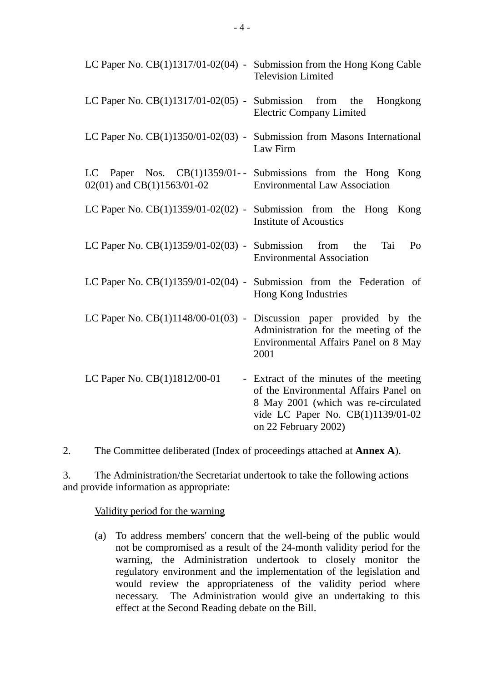|                                                          | LC Paper No. $CB(1)1317/01-02(04)$ - Submission from the Hong Kong Cable<br><b>Television Limited</b>                                                                                |
|----------------------------------------------------------|--------------------------------------------------------------------------------------------------------------------------------------------------------------------------------------|
| LC Paper No. $CB(1)1317/01-02(05)$ - Submission from the | Hongkong<br><b>Electric Company Limited</b>                                                                                                                                          |
|                                                          | LC Paper No. $CB(1)1350/01-02(03)$ - Submission from Masons International<br>Law Firm                                                                                                |
| 02(01) and CB(1)1563/01-02                               | LC Paper Nos. CB(1)1359/01-- Submissions from the Hong Kong<br><b>Environmental Law Association</b>                                                                                  |
|                                                          | LC Paper No. $CB(1)1359/01-02(02)$ - Submission from the Hong Kong<br><b>Institute of Acoustics</b>                                                                                  |
| LC Paper No. $CB(1)1359/01-02(03)$ - Submission from the | Tai<br>Po<br><b>Environmental Association</b>                                                                                                                                        |
|                                                          | LC Paper No. $CB(1)1359/01-02(04)$ - Submission from the Federation of<br>Hong Kong Industries                                                                                       |
|                                                          | LC Paper No. CB(1)1148/00-01(03) - Discussion paper provided by the<br>Administration for the meeting of the<br>Environmental Affairs Panel on 8 May<br>2001                         |
| LC Paper No. CB(1)1812/00-01                             | - Extract of the minutes of the meeting<br>of the Environmental Affairs Panel on<br>8 May 2001 (which was re-circulated<br>vide LC Paper No. CB(1)1139/01-02<br>on 22 February 2002) |

2. The Committee deliberated (Index of proceedings attached at **Annex A**).

3. The Administration/the Secretariat undertook to take the following actions and provide information as appropriate:

Validity period for the warning

(a) To address members' concern that the well-being of the public would not be compromised as a result of the 24-month validity period for the warning, the Administration undertook to closely monitor the regulatory environment and the implementation of the legislation and would review the appropriateness of the validity period where necessary. The Administration would give an undertaking to this effect at the Second Reading debate on the Bill.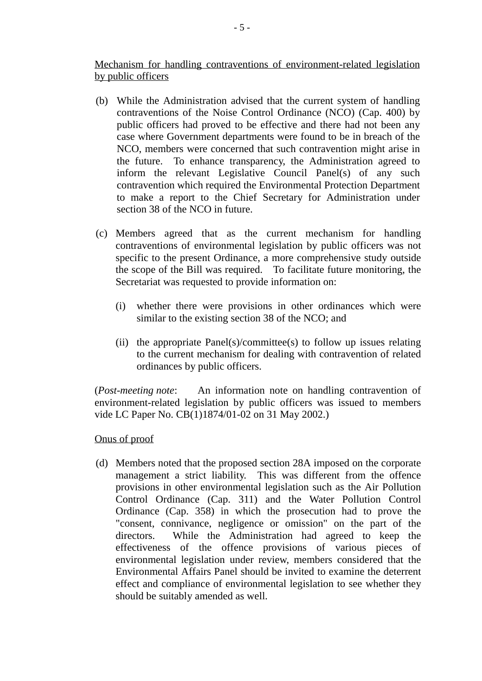Mechanism for handling contraventions of environment-related legislation by public officers

- (b) While the Administration advised that the current system of handling contraventions of the Noise Control Ordinance (NCO) (Cap. 400) by public officers had proved to be effective and there had not been any case where Government departments were found to be in breach of the NCO, members were concerned that such contravention might arise in the future. To enhance transparency, the Administration agreed to inform the relevant Legislative Council Panel(s) of any such contravention which required the Environmental Protection Department to make a report to the Chief Secretary for Administration under section 38 of the NCO in future.
- (c) Members agreed that as the current mechanism for handling contraventions of environmental legislation by public officers was not specific to the present Ordinance, a more comprehensive study outside the scope of the Bill was required. To facilitate future monitoring, the Secretariat was requested to provide information on:
	- (i) whether there were provisions in other ordinances which were similar to the existing section 38 of the NCO; and
	- (ii) the appropriate Panel(s)/committee(s) to follow up issues relating to the current mechanism for dealing with contravention of related ordinances by public officers.

(*Post-meeting note*: An information note on handling contravention of environment-related legislation by public officers was issued to members vide LC Paper No. CB(1)1874/01-02 on 31 May 2002.)

## Onus of proof

(d) Members noted that the proposed section 28A imposed on the corporate management a strict liability. This was different from the offence provisions in other environmental legislation such as the Air Pollution Control Ordinance (Cap. 311) and the Water Pollution Control Ordinance (Cap. 358) in which the prosecution had to prove the "consent, connivance, negligence or omission" on the part of the directors. While the Administration had agreed to keep the effectiveness of the offence provisions of various pieces of environmental legislation under review, members considered that the Environmental Affairs Panel should be invited to examine the deterrent effect and compliance of environmental legislation to see whether they should be suitably amended as well.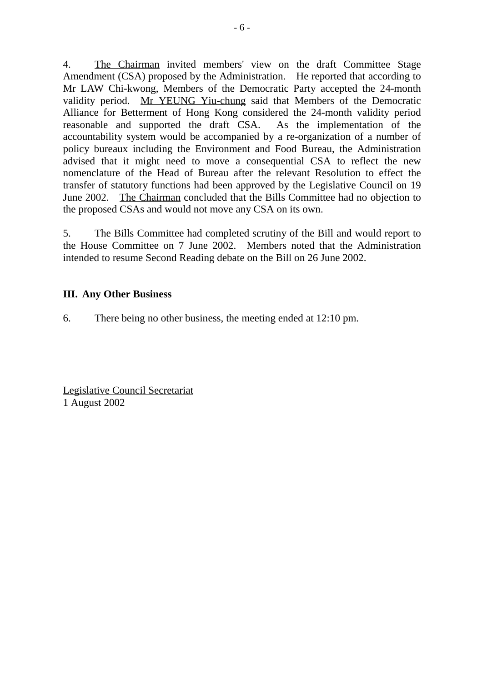4. The Chairman invited members' view on the draft Committee Stage Amendment (CSA) proposed by the Administration. He reported that according to Mr LAW Chi-kwong, Members of the Democratic Party accepted the 24-month validity period. Mr YEUNG Yiu-chung said that Members of the Democratic Alliance for Betterment of Hong Kong considered the 24-month validity period reasonable and supported the draft CSA. As the implementation of the accountability system would be accompanied by a re-organization of a number of policy bureaux including the Environment and Food Bureau, the Administration advised that it might need to move a consequential CSA to reflect the new nomenclature of the Head of Bureau after the relevant Resolution to effect the transfer of statutory functions had been approved by the Legislative Council on 19 June 2002. The Chairman concluded that the Bills Committee had no objection to the proposed CSAs and would not move any CSA on its own.

5. The Bills Committee had completed scrutiny of the Bill and would report to the House Committee on 7 June 2002. Members noted that the Administration intended to resume Second Reading debate on the Bill on 26 June 2002.

## **III. Any Other Business**

6. There being no other business, the meeting ended at 12:10 pm.

Legislative Council Secretariat 1 August 2002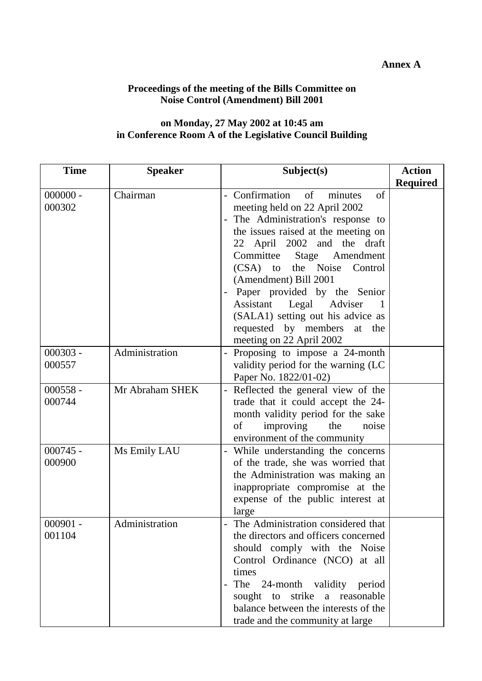#### **Annex A**

#### **Proceedings of the meeting of the Bills Committee on Noise Control (Amendment) Bill 2001**

#### **on Monday, 27 May 2002 at 10:45 am in Conference Room A of the Legislative Council Building**

| <b>Time</b>          | <b>Speaker</b>  | Subject(s)                                                                                                                                                                                                                                                                                                                                                                                                                                                              | <b>Action</b>   |
|----------------------|-----------------|-------------------------------------------------------------------------------------------------------------------------------------------------------------------------------------------------------------------------------------------------------------------------------------------------------------------------------------------------------------------------------------------------------------------------------------------------------------------------|-----------------|
| $000000 -$<br>000302 | Chairman        | - Confirmation<br>of<br>of<br>minutes<br>meeting held on 22 April 2002<br>The Administration's response to<br>$\overline{\phantom{0}}$<br>the issues raised at the meeting on<br>22 April 2002 and the draft<br>Committee Stage<br>Amendment<br>(CSA) to the Noise<br>Control<br>(Amendment) Bill 2001<br>Paper provided by the Senior<br>Assistant<br>Legal Adviser<br>(SALA1) setting out his advice as<br>requested by members<br>at the<br>meeting on 22 April 2002 | <b>Required</b> |
| $000303 -$<br>000557 | Administration  | Proposing to impose a 24-month<br>validity period for the warning (LC<br>Paper No. 1822/01-02)                                                                                                                                                                                                                                                                                                                                                                          |                 |
| $000558 -$<br>000744 | Mr Abraham SHEK | Reflected the general view of the<br>trade that it could accept the 24-<br>month validity period for the sake<br>of<br>improving<br>the<br>noise<br>environment of the community                                                                                                                                                                                                                                                                                        |                 |
| $000745 -$<br>000900 | Ms Emily LAU    | While understanding the concerns<br>of the trade, she was worried that<br>the Administration was making an<br>inappropriate compromise at the<br>expense of the public interest at<br>large                                                                                                                                                                                                                                                                             |                 |
| 000901<br>001104     | Administration  | The Administration considered that<br>the directors and officers concerned<br>should comply with the Noise<br>Control Ordinance (NCO) at all<br>times<br>The 24-month validity period<br>$\qquad \qquad -$<br>sought to strike a reasonable<br>balance between the interests of the<br>trade and the community at large                                                                                                                                                 |                 |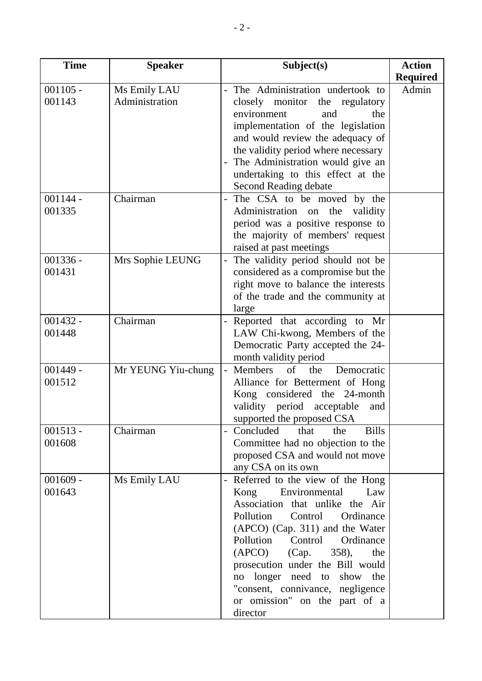| <b>Time</b>          | <b>Speaker</b>     | Subject(s)                                                             | <b>Action</b>   |
|----------------------|--------------------|------------------------------------------------------------------------|-----------------|
|                      |                    |                                                                        | <b>Required</b> |
| $001105 -$           | Ms Emily LAU       | The Administration undertook to                                        | Admin           |
| 001143               | Administration     | closely monitor the regulatory                                         |                 |
|                      |                    | environment<br>and<br>the                                              |                 |
|                      |                    | implementation of the legislation                                      |                 |
|                      |                    | and would review the adequacy of                                       |                 |
|                      |                    | the validity period where necessary                                    |                 |
|                      |                    | The Administration would give an                                       |                 |
|                      |                    | undertaking to this effect at the                                      |                 |
|                      |                    | Second Reading debate                                                  |                 |
| $001144 -$<br>001335 | Chairman           | The CSA to be moved by the                                             |                 |
|                      |                    | Administration on the<br>validity<br>period was a positive response to |                 |
|                      |                    | the majority of members' request                                       |                 |
|                      |                    | raised at past meetings                                                |                 |
| $001336 -$           | Mrs Sophie LEUNG   | The validity period should not be                                      |                 |
| 001431               |                    | considered as a compromise but the                                     |                 |
|                      |                    | right move to balance the interests                                    |                 |
|                      |                    | of the trade and the community at                                      |                 |
|                      |                    | large                                                                  |                 |
| $001432 -$           | Chairman           | Reported that according to Mr                                          |                 |
| 001448               |                    | LAW Chi-kwong, Members of the                                          |                 |
|                      |                    | Democratic Party accepted the 24-                                      |                 |
|                      |                    | month validity period                                                  |                 |
| $001449 -$           | Mr YEUNG Yiu-chung | Members<br>of the<br>Democratic<br>$\blacksquare$                      |                 |
| 001512               |                    | Alliance for Betterment of Hong                                        |                 |
|                      |                    | Kong considered the 24-month                                           |                 |
|                      |                    | validity period acceptable<br>and                                      |                 |
|                      |                    | supported the proposed CSA                                             |                 |
| $001513 -$<br>001608 | Chairman           | <b>Bills</b><br>Concluded<br>that<br>the                               |                 |
|                      |                    | Committee had no objection to the<br>proposed CSA and would not move   |                 |
|                      |                    | any CSA on its own                                                     |                 |
| $001609 -$           | Ms Emily LAU       | Referred to the view of the Hong                                       |                 |
| 001643               |                    | Kong<br>Environmental<br>Law                                           |                 |
|                      |                    | Association that unlike the Air                                        |                 |
|                      |                    | Pollution<br>Control<br>Ordinance                                      |                 |
|                      |                    | (APCO) (Cap. 311) and the Water                                        |                 |
|                      |                    | Pollution Control<br>Ordinance                                         |                 |
|                      |                    | (APCO)<br>(Cap.<br>$358$ ,<br>the                                      |                 |
|                      |                    | prosecution under the Bill would                                       |                 |
|                      |                    | no longer need to show the                                             |                 |
|                      |                    | "consent, connivance, negligence                                       |                 |
|                      |                    | or omission" on the part of a                                          |                 |
|                      |                    | director                                                               |                 |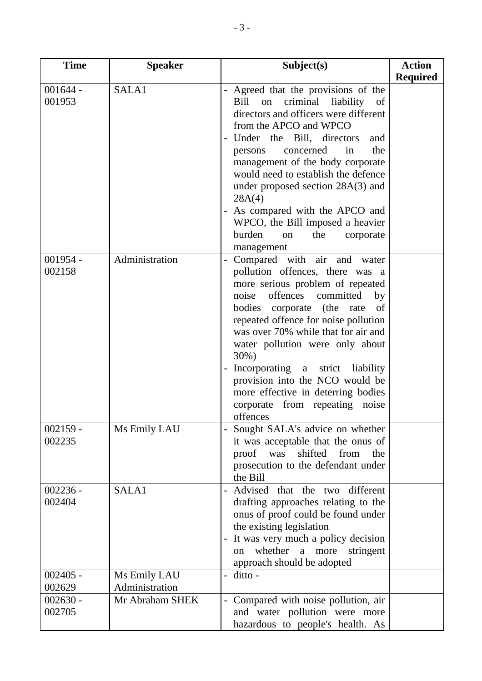| <b>Time</b>          | <b>Speaker</b>  | Subject(s)                                                                                                                                                                                                                                                                                                                                                                                                                                                                                    | <b>Action</b>   |
|----------------------|-----------------|-----------------------------------------------------------------------------------------------------------------------------------------------------------------------------------------------------------------------------------------------------------------------------------------------------------------------------------------------------------------------------------------------------------------------------------------------------------------------------------------------|-----------------|
|                      |                 |                                                                                                                                                                                                                                                                                                                                                                                                                                                                                               | <b>Required</b> |
| $001644 -$<br>001953 | SALA1           | Agreed that the provisions of the<br>$\qquad \qquad -$<br>criminal<br>liability of<br>Bill<br>on<br>directors and officers were different<br>from the APCO and WPCO<br>Under the Bill, directors<br>and<br>the<br>concerned<br>in<br>persons<br>management of the body corporate<br>would need to establish the defence<br>under proposed section 28A(3) and<br>28A(4)<br>As compared with the APCO and<br>WPCO, the Bill imposed a heavier<br>burden<br>the<br>corporate<br>on<br>management |                 |
| $001954 -$<br>002158 | Administration  | Compared with air and water<br>pollution offences, there was a<br>more serious problem of repeated<br>offences committed<br>noise<br>by<br>bodies<br>corporate<br>(the<br>of<br>rate<br>repeated offence for noise pollution<br>was over 70% while that for air and<br>water pollution were only about<br>$30\%)$<br>Incorporating a strict liability<br>provision into the NCO would be<br>more effective in deterring bodies<br>corporate from repeating<br>noise<br>offences               |                 |
| $002159 -$<br>002235 | Ms Emily LAU    | Sought SALA's advice on whether<br>it was acceptable that the onus of<br>shifted from the<br>proof was<br>prosecution to the defendant under<br>the Bill                                                                                                                                                                                                                                                                                                                                      |                 |
| $002236 -$<br>002404 | SALA1           | Advised that the two different<br>drafting approaches relating to the<br>onus of proof could be found under<br>the existing legislation<br>It was very much a policy decision<br>whether a more<br>stringent<br>on<br>approach should be adopted                                                                                                                                                                                                                                              |                 |
| $002405 -$           | Ms Emily LAU    | ditto -                                                                                                                                                                                                                                                                                                                                                                                                                                                                                       |                 |
| 002629               | Administration  |                                                                                                                                                                                                                                                                                                                                                                                                                                                                                               |                 |
| $002630 -$<br>002705 | Mr Abraham SHEK | Compared with noise pollution, air<br>and water pollution were more<br>hazardous to people's health. As                                                                                                                                                                                                                                                                                                                                                                                       |                 |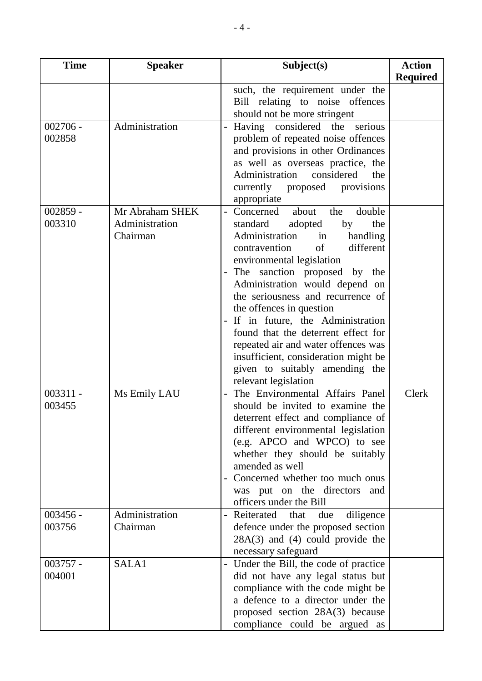| <b>Time</b>          | <b>Speaker</b>                                | Subject(s)                                                                                                                                                                                                                                                                                                                                                                                                                                                                                                                                                                                                              | <b>Action</b>   |
|----------------------|-----------------------------------------------|-------------------------------------------------------------------------------------------------------------------------------------------------------------------------------------------------------------------------------------------------------------------------------------------------------------------------------------------------------------------------------------------------------------------------------------------------------------------------------------------------------------------------------------------------------------------------------------------------------------------------|-----------------|
|                      |                                               |                                                                                                                                                                                                                                                                                                                                                                                                                                                                                                                                                                                                                         | <b>Required</b> |
|                      |                                               | such, the requirement under the<br>Bill relating to noise offences<br>should not be more stringent                                                                                                                                                                                                                                                                                                                                                                                                                                                                                                                      |                 |
| $002706 -$<br>002858 | Administration                                | Having considered the serious<br>problem of repeated noise offences<br>and provisions in other Ordinances<br>as well as overseas practice, the<br>Administration<br>considered<br>the<br>currently proposed provisions<br>appropriate                                                                                                                                                                                                                                                                                                                                                                                   |                 |
| $002859 -$<br>003310 | Mr Abraham SHEK<br>Administration<br>Chairman | Concerned<br>double<br>about<br>the<br>$\overline{\phantom{0}}$<br>standard<br>adopted<br>the<br>by<br>Administration<br>handling<br>in<br>of<br>different<br>contravention<br>environmental legislation<br>The sanction proposed by the<br>$\overline{\phantom{0}}$<br>Administration would depend on<br>the seriousness and recurrence of<br>the offences in question<br>If in future, the Administration<br>$\overline{\phantom{0}}$<br>found that the deterrent effect for<br>repeated air and water offences was<br>insufficient, consideration might be<br>given to suitably amending the<br>relevant legislation |                 |
| $003311 -$<br>003455 | Ms Emily LAU                                  | The Environmental Affairs Panel<br>should be invited to examine the<br>deterrent effect and compliance of<br>different environmental legislation<br>(e.g. APCO and WPCO) to see<br>whether they should be suitably<br>amended as well<br>Concerned whether too much onus<br>was put on the directors and<br>officers under the Bill                                                                                                                                                                                                                                                                                     | Clerk           |
| $003456 -$<br>003756 | Administration<br>Chairman                    | Reiterated that<br>due<br>diligence<br>defence under the proposed section<br>$28A(3)$ and (4) could provide the<br>necessary safeguard                                                                                                                                                                                                                                                                                                                                                                                                                                                                                  |                 |
| $003757 -$<br>004001 | SALA1                                         | Under the Bill, the code of practice<br>did not have any legal status but<br>compliance with the code might be<br>a defence to a director under the<br>proposed section 28A(3) because<br>compliance could be argued as                                                                                                                                                                                                                                                                                                                                                                                                 |                 |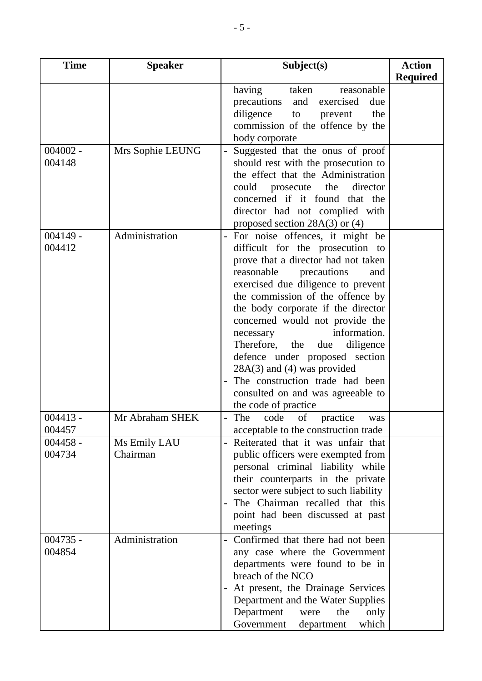| <b>Time</b>          | <b>Speaker</b>           | Subject(s)                                                                                                                                                                                                                                                                                                                                                                                                                                                                                                                              | <b>Action</b>   |
|----------------------|--------------------------|-----------------------------------------------------------------------------------------------------------------------------------------------------------------------------------------------------------------------------------------------------------------------------------------------------------------------------------------------------------------------------------------------------------------------------------------------------------------------------------------------------------------------------------------|-----------------|
|                      |                          |                                                                                                                                                                                                                                                                                                                                                                                                                                                                                                                                         | <b>Required</b> |
| $004002 -$           | Mrs Sophie LEUNG         | having<br>taken<br>reasonable<br>exercised<br>due<br>precautions<br>and<br>diligence to<br>the<br>prevent<br>commission of the offence by the<br>body corporate<br>Suggested that the onus of proof                                                                                                                                                                                                                                                                                                                                     |                 |
| 004148               |                          | should rest with the prosecution to<br>the effect that the Administration<br>could prosecute the<br>director<br>concerned if it found that the<br>director had not complied with<br>proposed section $28A(3)$ or (4)                                                                                                                                                                                                                                                                                                                    |                 |
| $004149 -$<br>004412 | Administration           | For noise offences, it might be<br>difficult for the prosecution to<br>prove that a director had not taken<br>reasonable<br>precautions<br>and<br>exercised due diligence to prevent<br>the commission of the offence by<br>the body corporate if the director<br>concerned would not provide the<br>information.<br>necessary<br>Therefore, the<br>diligence<br>due<br>defence under proposed section<br>$28A(3)$ and (4) was provided<br>The construction trade had been<br>consulted on and was agreeable to<br>the code of practice |                 |
| $004413 -$<br>004457 | Mr Abraham SHEK          | The code of practice was<br>acceptable to the construction trade                                                                                                                                                                                                                                                                                                                                                                                                                                                                        |                 |
| $004458 -$<br>004734 | Ms Emily LAU<br>Chairman | Reiterated that it was unfair that<br>public officers were exempted from<br>personal criminal liability while<br>their counterparts in the private<br>sector were subject to such liability<br>The Chairman recalled that this<br>point had been discussed at past<br>meetings                                                                                                                                                                                                                                                          |                 |
| $004735 -$<br>004854 | Administration           | Confirmed that there had not been<br>any case where the Government<br>departments were found to be in<br>breach of the NCO<br>At present, the Drainage Services<br>Department and the Water Supplies<br>Department<br>the<br>only<br>were<br>which<br>Government<br>department                                                                                                                                                                                                                                                          |                 |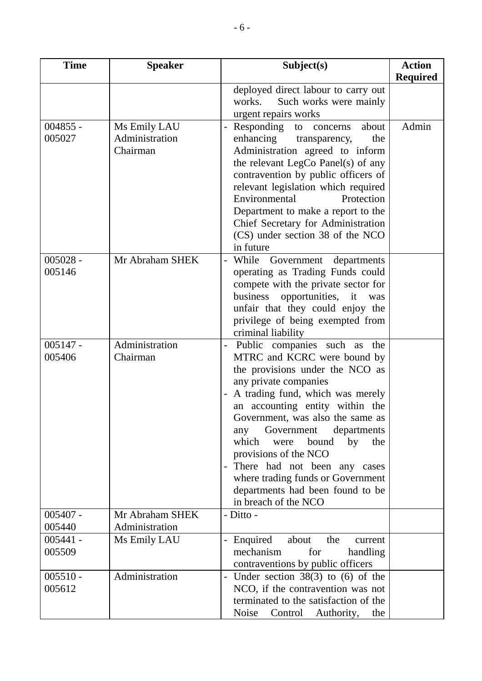| <b>Time</b>          | <b>Speaker</b>                 | Subject(s)                                                               | <b>Action</b>   |
|----------------------|--------------------------------|--------------------------------------------------------------------------|-----------------|
|                      |                                |                                                                          | <b>Required</b> |
|                      |                                | deployed direct labour to carry out                                      |                 |
|                      |                                | works.<br>Such works were mainly                                         |                 |
|                      |                                | urgent repairs works                                                     | Admin           |
| $004855 -$<br>005027 | Ms Emily LAU<br>Administration | Responding to concerns<br>about<br>enhancing<br>the<br>transparency,     |                 |
|                      | Chairman                       | Administration agreed to inform                                          |                 |
|                      |                                | the relevant LegCo Panel(s) of any                                       |                 |
|                      |                                | contravention by public officers of                                      |                 |
|                      |                                | relevant legislation which required                                      |                 |
|                      |                                | Protection<br>Environmental                                              |                 |
|                      |                                | Department to make a report to the                                       |                 |
|                      |                                | Chief Secretary for Administration<br>(CS) under section 38 of the NCO   |                 |
|                      |                                | in future                                                                |                 |
| $005028 -$           | Mr Abraham SHEK                | While Government<br>departments                                          |                 |
| 005146               |                                | operating as Trading Funds could                                         |                 |
|                      |                                | compete with the private sector for                                      |                 |
|                      |                                | business opportunities, it<br>was                                        |                 |
|                      |                                | unfair that they could enjoy the                                         |                 |
|                      |                                | privilege of being exempted from<br>criminal liability                   |                 |
| $005147 -$           | Administration                 | Public companies such as the                                             |                 |
| 005406               | Chairman                       | MTRC and KCRC were bound by                                              |                 |
|                      |                                | the provisions under the NCO as                                          |                 |
|                      |                                | any private companies                                                    |                 |
|                      |                                | A trading fund, which was merely                                         |                 |
|                      |                                | an accounting entity within the<br>Government, was also the same as      |                 |
|                      |                                | Government<br>departments<br>any                                         |                 |
|                      |                                | which<br>bound<br>by<br>the<br>were                                      |                 |
|                      |                                | provisions of the NCO                                                    |                 |
|                      |                                | There had not been any cases                                             |                 |
|                      |                                | where trading funds or Government                                        |                 |
|                      |                                | departments had been found to be<br>in breach of the NCO                 |                 |
| $005407 -$           | Mr Abraham SHEK                | - Ditto -                                                                |                 |
| 005440               | Administration                 |                                                                          |                 |
| $005441 -$           | Ms Emily LAU                   | Enquired<br>about<br>the<br>current                                      |                 |
| 005509               |                                | mechanism<br>for<br>handling                                             |                 |
|                      |                                | contraventions by public officers                                        |                 |
| $005510 -$<br>005612 | Administration                 | Under section $38(3)$ to (6) of the<br>NCO, if the contravention was not |                 |
|                      |                                | terminated to the satisfaction of the                                    |                 |
|                      |                                | Noise<br>Control Authority, the                                          |                 |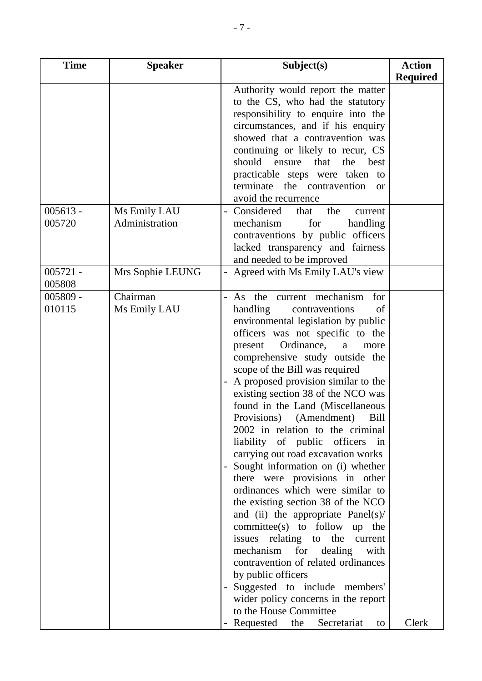| <b>Time</b>          | <b>Speaker</b>           | Subject(s)                                                                                                                                                                                                                                                                                                                                                                                                                                                                                                                                                                                                                                                                                                                                                                                                                                                                                                                                                                                                           | <b>Action</b>   |
|----------------------|--------------------------|----------------------------------------------------------------------------------------------------------------------------------------------------------------------------------------------------------------------------------------------------------------------------------------------------------------------------------------------------------------------------------------------------------------------------------------------------------------------------------------------------------------------------------------------------------------------------------------------------------------------------------------------------------------------------------------------------------------------------------------------------------------------------------------------------------------------------------------------------------------------------------------------------------------------------------------------------------------------------------------------------------------------|-----------------|
|                      |                          |                                                                                                                                                                                                                                                                                                                                                                                                                                                                                                                                                                                                                                                                                                                                                                                                                                                                                                                                                                                                                      | <b>Required</b> |
| $005613 -$           | Ms Emily LAU             | Authority would report the matter<br>to the CS, who had the statutory<br>responsibility to enquire into the<br>circumstances, and if his enquiry<br>showed that a contravention was<br>continuing or likely to recur, CS<br>should ensure<br>that<br>the<br>best<br>practicable steps were taken to<br>terminate the contravention<br>$\alpha$<br>avoid the recurrence<br>Considered<br>the<br>that<br>current                                                                                                                                                                                                                                                                                                                                                                                                                                                                                                                                                                                                       |                 |
| 005720               | Administration           | mechanism<br>for<br>handling<br>contraventions by public officers<br>lacked transparency and fairness<br>and needed to be improved                                                                                                                                                                                                                                                                                                                                                                                                                                                                                                                                                                                                                                                                                                                                                                                                                                                                                   |                 |
| $005721 -$<br>005808 | Mrs Sophie LEUNG         | Agreed with Ms Emily LAU's view                                                                                                                                                                                                                                                                                                                                                                                                                                                                                                                                                                                                                                                                                                                                                                                                                                                                                                                                                                                      |                 |
| 005809 -<br>010115   | Chairman<br>Ms Emily LAU | As the current mechanism<br>for<br>handling<br>contraventions<br>of<br>environmental legislation by public<br>officers was not specific to the<br>Ordinance,<br>present<br>a<br>more<br>comprehensive study outside the<br>scope of the Bill was required<br>A proposed provision similar to the<br>existing section 38 of the NCO was<br>found in the Land (Miscellaneous<br>Provisions) (Amendment) Bill<br>2002 in relation to the criminal<br>liability of public officers in<br>carrying out road excavation works<br>Sought information on (i) whether<br>there were provisions in other<br>ordinances which were similar to<br>the existing section 38 of the NCO<br>and (ii) the appropriate Panel(s)/<br>committee(s) to follow up the<br>issues relating to the current<br>mechanism for dealing<br>with<br>contravention of related ordinances<br>by public officers<br>Suggested to include members'<br>wider policy concerns in the report<br>to the House Committee<br>Requested the Secretariat<br>to | Clerk           |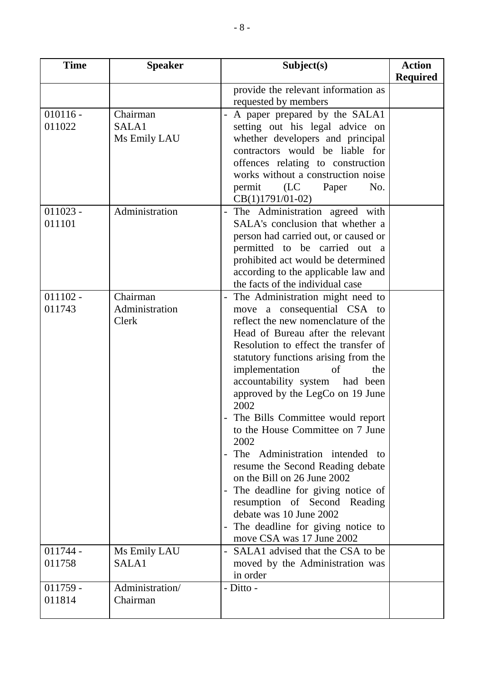| <b>Time</b>          | <b>Speaker</b>  | Subject(s)                                                            | <b>Action</b>   |
|----------------------|-----------------|-----------------------------------------------------------------------|-----------------|
|                      |                 |                                                                       | <b>Required</b> |
|                      |                 | provide the relevant information as                                   |                 |
|                      |                 | requested by members                                                  |                 |
| $010116 -$           | Chairman        | A paper prepared by the SALA1                                         |                 |
| 011022               | SALA1           | setting out his legal advice on                                       |                 |
|                      | Ms Emily LAU    | whether developers and principal                                      |                 |
|                      |                 | contractors would be liable for                                       |                 |
|                      |                 | offences relating to construction                                     |                 |
|                      |                 | works without a construction noise                                    |                 |
|                      |                 | permit<br>(LC)<br>No.<br>Paper                                        |                 |
|                      |                 | $CB(1)1791/01-02)$                                                    |                 |
| $011023 -$<br>011101 | Administration  | The Administration agreed with<br>SALA's conclusion that whether a    |                 |
|                      |                 |                                                                       |                 |
|                      |                 | person had carried out, or caused or<br>permitted to be carried out a |                 |
|                      |                 | prohibited act would be determined                                    |                 |
|                      |                 | according to the applicable law and                                   |                 |
|                      |                 | the facts of the individual case                                      |                 |
| $011102 -$           | Chairman        | The Administration might need to                                      |                 |
| 011743               | Administration  | move a consequential CSA to                                           |                 |
|                      | Clerk           | reflect the new nomenclature of the                                   |                 |
|                      |                 | Head of Bureau after the relevant                                     |                 |
|                      |                 | Resolution to effect the transfer of                                  |                 |
|                      |                 | statutory functions arising from the                                  |                 |
|                      |                 | implementation<br>of<br>the                                           |                 |
|                      |                 | accountability system had been                                        |                 |
|                      |                 | approved by the LegCo on 19 June                                      |                 |
|                      |                 | 2002                                                                  |                 |
|                      |                 | The Bills Committee would report                                      |                 |
|                      |                 | to the House Committee on 7 June                                      |                 |
|                      |                 | 2002                                                                  |                 |
|                      |                 | The Administration intended to                                        |                 |
|                      |                 | resume the Second Reading debate<br>on the Bill on 26 June 2002       |                 |
|                      |                 | The deadline for giving notice of<br>$\qquad \qquad -$                |                 |
|                      |                 | resumption of Second Reading                                          |                 |
|                      |                 | debate was 10 June 2002                                               |                 |
|                      |                 | The deadline for giving notice to                                     |                 |
|                      |                 | move CSA was 17 June 2002                                             |                 |
| $011744 -$           | Ms Emily LAU    | SALA1 advised that the CSA to be                                      |                 |
| 011758               | SALA1           | moved by the Administration was                                       |                 |
|                      |                 | in order                                                              |                 |
| $011759 -$           | Administration/ | - Ditto -                                                             |                 |
| 011814               | Chairman        |                                                                       |                 |
|                      |                 |                                                                       |                 |